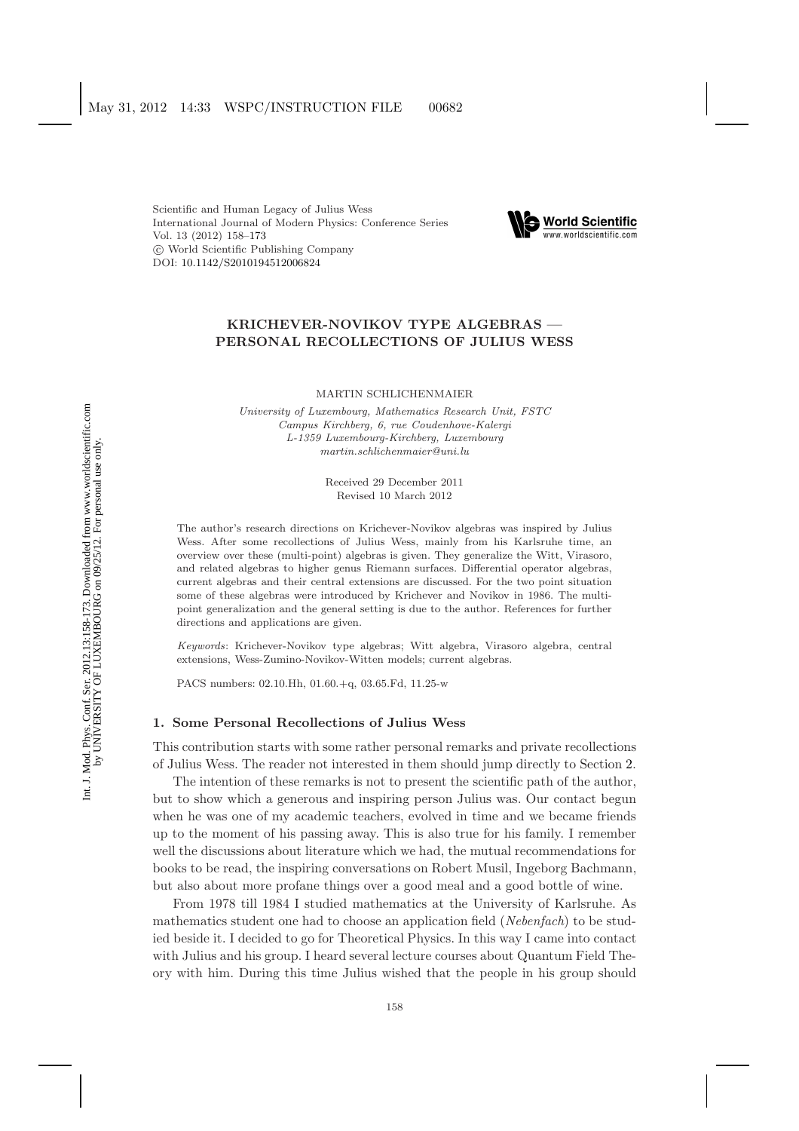Scientific and Human Legacy of Julius Wess International Journal of Modern Physics: Conference Series Vol. 13 (2012) 158[–173](#page-14-0) c World Scientific Publishing Company DOI: [10.1142/S2010194512006824](http://dx.doi.org/10.1142/S2010194512006824)



# **KRICHEVER-NOVIKOV TYPE ALGEBRAS — PERSONAL RECOLLECTIONS OF JULIUS WESS**

MARTIN SCHLICHENMAIER

*University of Luxembourg, Mathematics Research Unit, FSTC Campus Kirchberg, 6, rue Coudenhove-Kalergi L-1359 Luxembourg-Kirchberg, Luxembourg martin.schlichenmaier@uni.lu*

> Received 29 December 2011 Revised 10 March 2012

The author's research directions on Krichever-Novikov algebras was inspired by Julius Wess. After some recollections of Julius Wess, mainly from his Karlsruhe time, an overview over these (multi-point) algebras is given. They generalize the Witt, Virasoro, and related algebras to higher genus Riemann surfaces. Differential operator algebras, current algebras and their central extensions are discussed. For the two point situation some of these algebras were introduced by Krichever and Novikov in 1986. The multipoint generalization and the general setting is due to the author. References for further directions and applications are given.

*Keywords*: Krichever-Novikov type algebras; Witt algebra, Virasoro algebra, central extensions, Wess-Zumino-Novikov-Witten models; current algebras.

PACS numbers: 02.10.Hh, 01.60.+q, 03.65.Fd, 11.25-w

# **1. Some Personal Recollections of Julius Wess**

This contribution starts with some rather personal remarks and private recollections of Julius Wess. The reader not interested in them should jump directly to Section [2.](#page-3-0)

The intention of these remarks is not to present the scientific path of the author, but to show which a generous and inspiring person Julius was. Our contact begun when he was one of my academic teachers, evolved in time and we became friends up to the moment of his passing away. This is also true for his family. I remember well the discussions about literature which we had, the mutual recommendations for books to be read, the inspiring conversations on Robert Musil, Ingeborg Bachmann, but also about more profane things over a good meal and a good bottle of wine.

From 1978 till 1984 I studied mathematics at the University of Karlsruhe. As mathematics student one had to choose an application field (*Nebenfach*) to be studied beside it. I decided to go for Theoretical Physics. In this way I came into contact with Julius and his group. I heard several lecture courses about Quantum Field Theory with him. During this time Julius wished that the people in his group should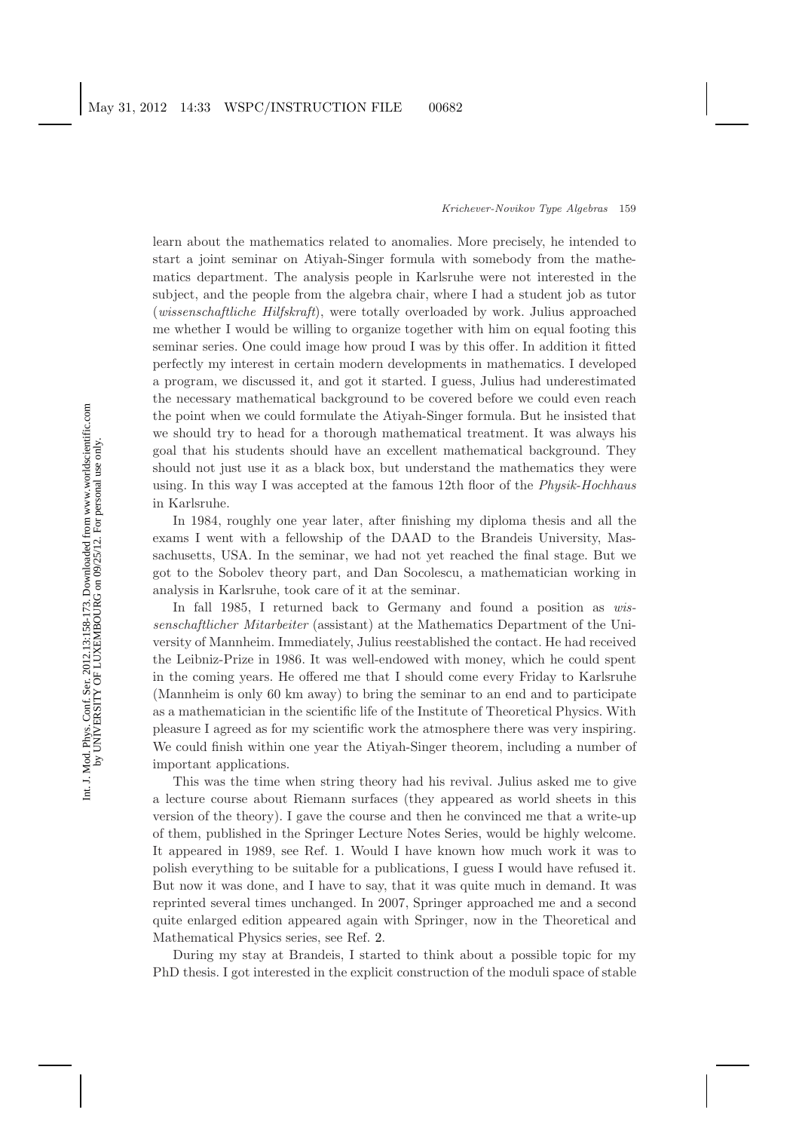learn about the mathematics related to anomalies. More precisely, he intended to start a joint seminar on Atiyah-Singer formula with somebody from the mathematics department. The analysis people in Karlsruhe were not interested in the subject, and the people from the algebra chair, where I had a student job as tutor (*wissenschaftliche Hilfskraft*), were totally overloaded by work. Julius approached me whether I would be willing to organize together with him on equal footing this seminar series. One could image how proud I was by this offer. In addition it fitted perfectly my interest in certain modern developments in mathematics. I developed a program, we discussed it, and got it started. I guess, Julius had underestimated the necessary mathematical background to be covered before we could even reach the point when we could formulate the Atiyah-Singer formula. But he insisted that we should try to head for a thorough mathematical treatment. It was always his goal that his students should have an excellent mathematical background. They should not just use it as a black box, but understand the mathematics they were using. In this way I was accepted at the famous 12th floor of the *Physik-Hochhaus* in Karlsruhe.

In 1984, roughly one year later, after finishing my diploma thesis and all the exams I went with a fellowship of the DAAD to the Brandeis University, Massachusetts, USA. In the seminar, we had not yet reached the final stage. But we got to the Sobolev theory part, and Dan Socolescu, a mathematician working in analysis in Karlsruhe, took care of it at the seminar.

In fall 1985, I returned back to Germany and found a position as *wissenschaftlicher Mitarbeiter* (assistant) at the Mathematics Department of the University of Mannheim. Immediately, Julius reestablished the contact. He had received the Leibniz-Prize in 1986. It was well-endowed with money, which he could spent in the coming years. He offered me that I should come every Friday to Karlsruhe (Mannheim is only 60 km away) to bring the seminar to an end and to participate as a mathematician in the scientific life of the Institute of Theoretical Physics. With pleasure I agreed as for my scientific work the atmosphere there was very inspiring. We could finish within one year the Atiyah-Singer theorem, including a number of important applications.

This was the time when string theory had his revival. Julius asked me to give a lecture course about Riemann surfaces (they appeared as world sheets in this version of the theory). I gave the course and then he convinced me that a write-up of them, published in the Springer Lecture Notes Series, would be highly welcome. It appeared in 1989, see Ref. [1.](#page-14-1) Would I have known how much work it was to polish everything to be suitable for a publications, I guess I would have refused it. But now it was done, and I have to say, that it was quite much in demand. It was reprinted several times unchanged. In 2007, Springer approached me and a second quite enlarged edition appeared again with Springer, now in the Theoretical and Mathematical Physics series, see Ref. [2.](#page-14-2)

During my stay at Brandeis, I started to think about a possible topic for my PhD thesis. I got interested in the explicit construction of the moduli space of stable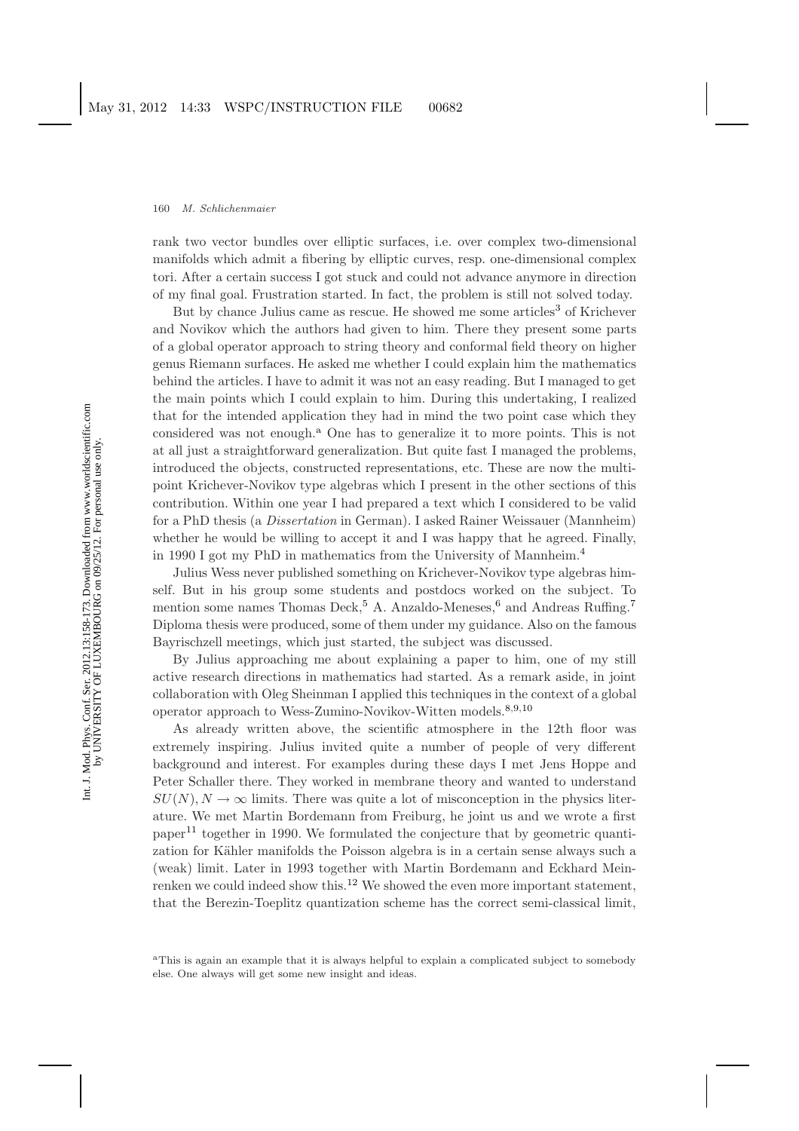rank two vector bundles over elliptic surfaces, i.e. over complex two-dimensional manifolds which admit a fibering by elliptic curves, resp. one-dimensional complex tori. After a certain success I got stuck and could not advance anymore in direction of my final goal. Frustration started. In fact, the problem is still not solved today.

But by chance Julius came as rescue. He showed me some articles<sup>[3](#page-14-3)</sup> of Krichever and Novikov which the authors had given to him. There they present some parts of a global operator approach to string theory and conformal field theory on higher genus Riemann surfaces. He asked me whether I could explain him the mathematics behind the articles. I have to admit it was not an easy reading. But I managed to get the main points which I could explain to him. During this undertaking, I realized that for the intended application they had in mind the two point case which they considered w[a](#page-2-0)s not enough.<sup>a</sup> One has to generalize it to more points. This is not at all just a straightforward generalization. But quite fast I managed the problems, introduced the objects, constructed representations, etc. These are now the multipoint Krichever-Novikov type algebras which I present in the other sections of this contribution. Within one year I had prepared a text which I considered to be valid for a PhD thesis (a *Dissertation* in German). I asked Rainer Weissauer (Mannheim) whether he would be willing to accept it and I was happy that he agreed. Finally, in 1990 I got my PhD in mathematics from the University of Mannheim.[4](#page-14-4)

Julius Wess never published something on Krichever-Novikov type algebras himself. But in his group some students and postdocs worked on the subject. To mention some names Thomas Deck,<sup>[5](#page-14-5)</sup> A. Anzaldo-Meneses,<sup>[6](#page-14-6)</sup> and Andreas Ruffing.<sup>[7](#page-14-7)</sup> Diploma thesis were produced, some of them under my guidance. Also on the famous Bayrischzell meetings, which just started, the subject was discussed.

By Julius approaching me about explaining a paper to him, one of my still active research directions in mathematics had started. As a remark aside, in joint collaboration with Oleg Sheinman I applied this techniques in the context of a global operator approach to Wess-Zumino-Novikov-Witten models.[8](#page-14-8)[,9,](#page-14-9)[10](#page-14-10)

As already written above, the scientific atmosphere in the 12th floor was extremely inspiring. Julius invited quite a number of people of very different background and interest. For examples during these days I met Jens Hoppe and Peter Schaller there. They worked in membrane theory and wanted to understand  $SU(N), N \to \infty$  limits. There was quite a lot of misconception in the physics literature. We met Martin Bordemann from Freiburg, he joint us and we wrote a first paper<sup>[11](#page-14-11)</sup> together in 1990. We formulated the conjecture that by geometric quantization for Kähler manifolds the Poisson algebra is in a certain sense always such a (weak) limit. Later in 1993 together with Martin Bordemann and Eckhard Mein-renken we could indeed show this.<sup>[12](#page-14-12)</sup> We showed the even more important statement, that the Berezin-Toeplitz quantization scheme has the correct semi-classical limit,

<span id="page-2-0"></span><sup>&</sup>lt;sup>a</sup>This is again an example that it is always helpful to explain a complicated subject to somebody else. One always will get some new insight and ideas.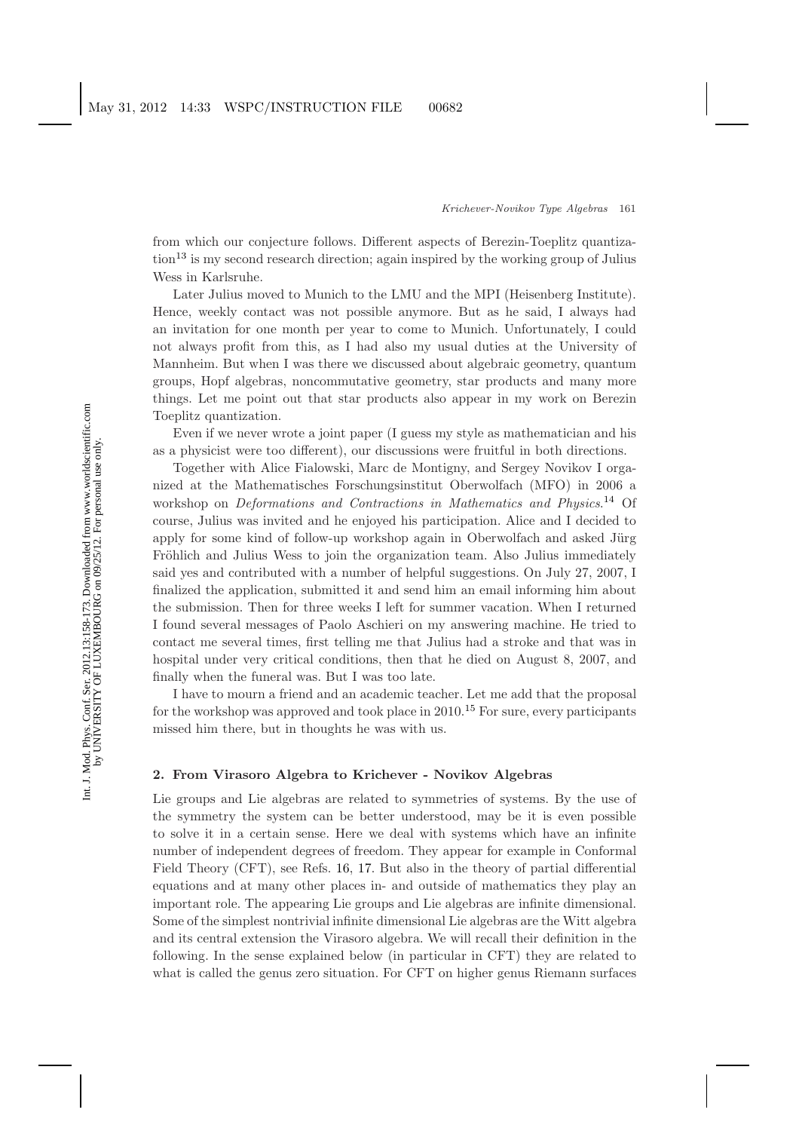from which our conjecture follows. Different aspects of Berezin-Toeplitz quantiza-tion<sup>[13](#page-14-13)</sup> is my second research direction; again inspired by the working group of Julius Wess in Karlsruhe.

Later Julius moved to Munich to the LMU and the MPI (Heisenberg Institute). Hence, weekly contact was not possible anymore. But as he said, I always had an invitation for one month per year to come to Munich. Unfortunately, I could not always profit from this, as I had also my usual duties at the University of Mannheim. But when I was there we discussed about algebraic geometry, quantum groups, Hopf algebras, noncommutative geometry, star products and many more things. Let me point out that star products also appear in my work on Berezin Toeplitz quantization.

Even if we never wrote a joint paper (I guess my style as mathematician and his as a physicist were too different), our discussions were fruitful in both directions.

Together with Alice Fialowski, Marc de Montigny, and Sergey Novikov I organized at the Mathematisches Forschungsinstitut Oberwolfach (MFO) in 2006 a workshop on *Deformations and Contractions in Mathematics and Physics*. [14](#page-14-14) Of course, Julius was invited and he enjoyed his participation. Alice and I decided to apply for some kind of follow-up workshop again in Oberwolfach and asked Jürg Fröhlich and Julius Wess to join the organization team. Also Julius immediately said yes and contributed with a number of helpful suggestions. On July 27, 2007, I finalized the application, submitted it and send him an email informing him about the submission. Then for three weeks I left for summer vacation. When I returned I found several messages of Paolo Aschieri on my answering machine. He tried to contact me several times, first telling me that Julius had a stroke and that was in hospital under very critical conditions, then that he died on August 8, 2007, and finally when the funeral was. But I was too late.

I have to mourn a friend and an academic teacher. Let me add that the proposal for the workshop was approved and took place in  $2010<sup>15</sup>$  $2010<sup>15</sup>$  $2010<sup>15</sup>$  For sure, every participants missed him there, but in thoughts he was with us.

# <span id="page-3-0"></span>**2. From Virasoro Algebra to Krichever - Novikov Algebras**

Lie groups and Lie algebras are related to symmetries of systems. By the use of the symmetry the system can be better understood, may be it is even possible to solve it in a certain sense. Here we deal with systems which have an infinite number of independent degrees of freedom. They appear for example in Conformal Field Theory (CFT), see Refs. [16,](#page-14-16) [17.](#page-14-17) But also in the theory of partial differential equations and at many other places in- and outside of mathematics they play an important role. The appearing Lie groups and Lie algebras are infinite dimensional. Some of the simplest nontrivial infinite dimensional Lie algebras are the Witt algebra and its central extension the Virasoro algebra. We will recall their definition in the following. In the sense explained below (in particular in CFT) they are related to what is called the genus zero situation. For CFT on higher genus Riemann surfaces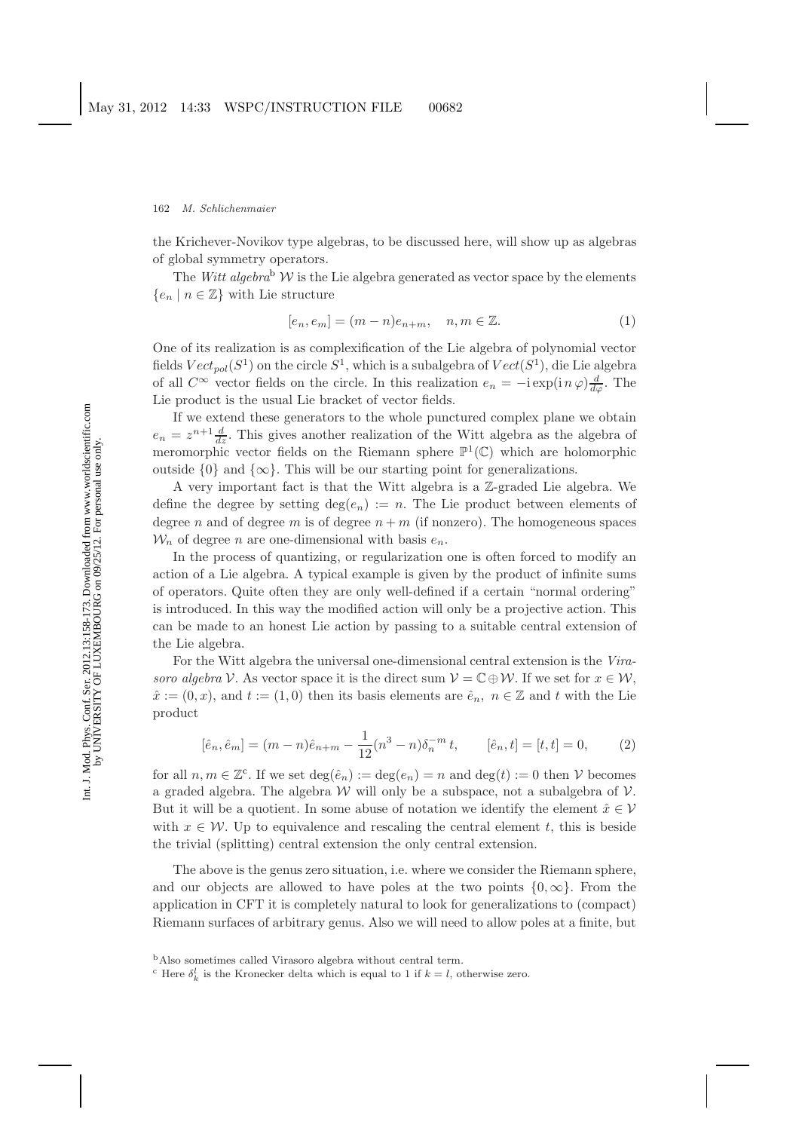the Krichever-Novikov type algebras, to be discussed here, will show up as algebras of global symmetry operators.

The *Witt alge[b](#page-4-0)ra*<sup>b</sup>  $W$  is the Lie algebra generated as vector space by the elements  ${e_n \mid n \in \mathbb{Z}}$  with Lie structure

$$
[e_n, e_m] = (m - n)e_{n+m}, \quad n, m \in \mathbb{Z}.
$$
 (1)

One of its realization is as complexification of the Lie algebra of polynomial vector fields  $Vect_{pol}(S^1)$  on the circle  $S^1$ , which is a subalgebra of  $Vect(S^1)$ , die Lie algebra of all  $C^{\infty}$  vector fields on the circle. In this realization  $e_n = -i \exp(i n \varphi) \frac{d}{d\varphi}$ . The Lie product is the usual Lie bracket of vector fields.

If we extend these generators to the whole punctured complex plane we obtain  $e_n = z^{n+1} \frac{d}{dz}$ . This gives another realization of the Witt algebra as the algebra of meromorphic vector fields on the Riemann sphere  $\mathbb{P}^1(\mathbb{C})$  which are holomorphic outside  $\{0\}$  and  $\{\infty\}$ . This will be our starting point for generalizations.

A very important fact is that the Witt algebra is a Z-graded Lie algebra. We define the degree by setting  $\deg(e_n) := n$ . The Lie product between elements of degree n and of degree m is of degree  $n + m$  (if nonzero). The homogeneous spaces  $W_n$  of degree *n* are one-dimensional with basis  $e_n$ .

In the process of quantizing, or regularization one is often forced to modify an action of a Lie algebra. A typical example is given by the product of infinite sums of operators. Quite often they are only well-defined if a certain "normal ordering" is introduced. In this way the modified action will only be a projective action. This can be made to an honest Lie action by passing to a suitable central extension of the Lie algebra.

For the Witt algebra the universal one-dimensional central extension is the *Virasoro algebra* V. As vector space it is the direct sum  $V = \mathbb{C} \oplus \mathcal{W}$ . If we set for  $x \in \mathcal{W}$ ,  $\hat{x} := (0, x)$ , and  $t := (1, 0)$  then its basis elements are  $\hat{e}_n$ ,  $n \in \mathbb{Z}$  and t with the Lie product

$$
[\hat{e}_n, \hat{e}_m] = (m - n)\hat{e}_{n+m} - \frac{1}{12}(n^3 - n)\delta_n^{-m} t, \qquad [\hat{e}_n, t] = [t, t] = 0,
$$
 (2)

<span id="page-4-2"></span>for all  $n, m \in \mathbb{Z}^c$  $n, m \in \mathbb{Z}^c$ . If we set  $\deg(\hat{e}_n) := \deg(e_n) = n$  and  $\deg(t) := 0$  then V becomes a graded algebra. The algebra  $W$  will only be a subspace, not a subalgebra of  $V$ . But it will be a quotient. In some abuse of notation we identify the element  $\hat{x} \in \mathcal{V}$ with  $x \in \mathcal{W}$ . Up to equivalence and rescaling the central element t, this is beside the trivial (splitting) central extension the only central extension.

The above is the genus zero situation, i.e. where we consider the Riemann sphere, and our objects are allowed to have poles at the two points  $\{0,\infty\}$ . From the application in CFT it is completely natural to look for generalizations to (compact) Riemann surfaces of arbitrary genus. Also we will need to allow poles at a finite, but

<span id="page-4-0"></span><sup>b</sup>Also sometimes called Virasoro algebra without central term.

<span id="page-4-1"></span><sup>&</sup>lt;sup>c</sup> Here  $\delta_k^l$  is the Kronecker delta which is equal to 1 if  $k = l$ , otherwise zero.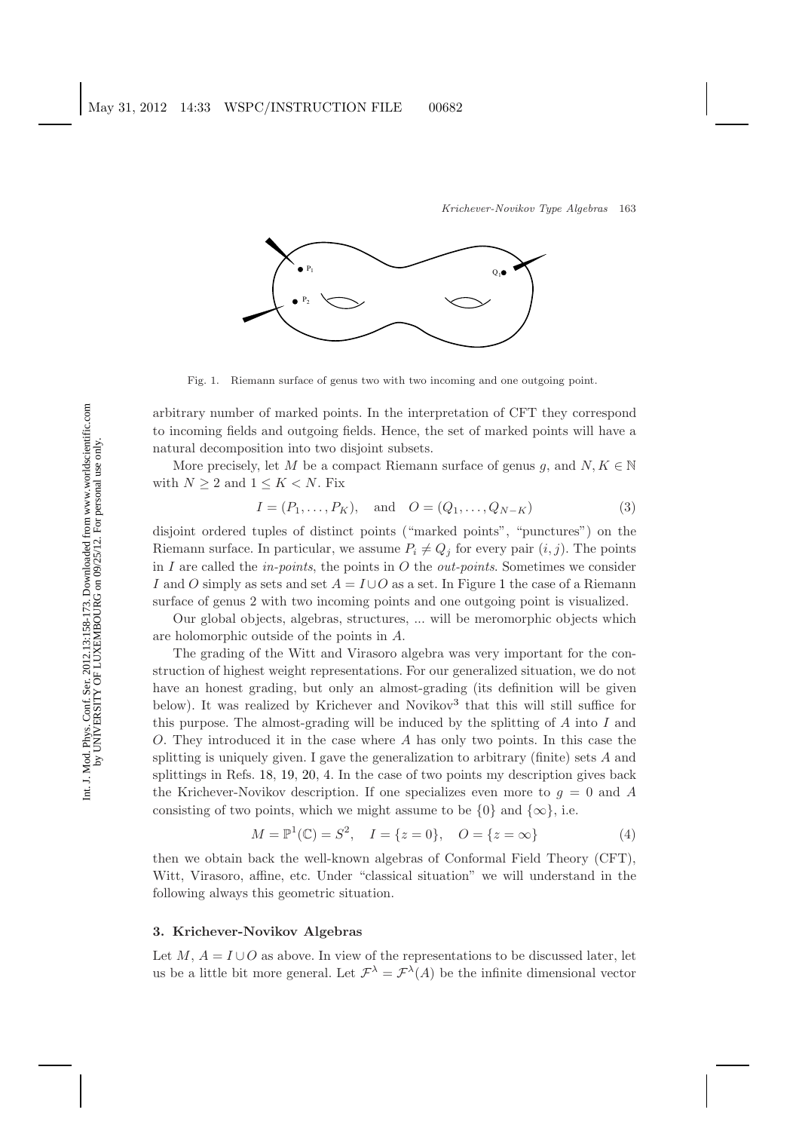

Fig. 1. Riemann surface of genus two with two incoming and one outgoing point.

<span id="page-5-0"></span>arbitrary number of marked points. In the interpretation of CFT they correspond to incoming fields and outgoing fields. Hence, the set of marked points will have a natural decomposition into two disjoint subsets.

More precisely, let M be a compact Riemann surface of genus g, and  $N, K \in \mathbb{N}$ with  $N \geq 2$  and  $1 \leq K < N$ . Fix

$$
I = (P_1, \dots, P_K), \text{ and } O = (Q_1, \dots, Q_{N-K})
$$
 (3)

disjoint ordered tuples of distinct points ("marked points", "punctures") on the Riemann surface. In particular, we assume  $P_i \neq Q_j$  for every pair  $(i, j)$ . The points in I are called the *in-points*, the points in O the *out-points*. Sometimes we consider I and O simply as sets and set  $A = I \cup O$  as a set. In Figure [1](#page-5-0) the case of a Riemann surface of genus 2 with two incoming points and one outgoing point is visualized.

Our global objects, algebras, structures, ... will be meromorphic objects which are holomorphic outside of the points in A.

The grading of the Witt and Virasoro algebra was very important for the construction of highest weight representations. For our generalized situation, we do not have an honest grading, but only an almost-grading (its definition will be given below). It was realized by Krichever and Novikov<sup>[3](#page-14-3)</sup> that this will still suffice for this purpose. The almost-grading will be induced by the splitting of  $A$  into  $I$  and O. They introduced it in the case where A has only two points. In this case the splitting is uniquely given. I gave the generalization to arbitrary (finite) sets  $A$  and splittings in Refs. [18,](#page-14-18) [19,](#page-14-19) [20,](#page-14-20) [4.](#page-14-4) In the case of two points my description gives back the Krichever-Novikov description. If one specializes even more to  $q = 0$  and A consisting of two points, which we might assume to be  $\{0\}$  and  $\{\infty\}$ , i.e.

$$
M = \mathbb{P}^{1}(\mathbb{C}) = S^{2}, \quad I = \{z = 0\}, \quad O = \{z = \infty\}
$$
 (4)

then we obtain back the well-known algebras of Conformal Field Theory (CFT), Witt, Virasoro, affine, etc. Under "classical situation" we will understand in the following always this geometric situation.

### **3. Krichever-Novikov Algebras**

Let M,  $A = I \cup O$  as above. In view of the representations to be discussed later, let us be a little bit more general. Let  $\mathcal{F}^{\lambda} = \mathcal{F}^{\lambda}(A)$  be the infinite dimensional vector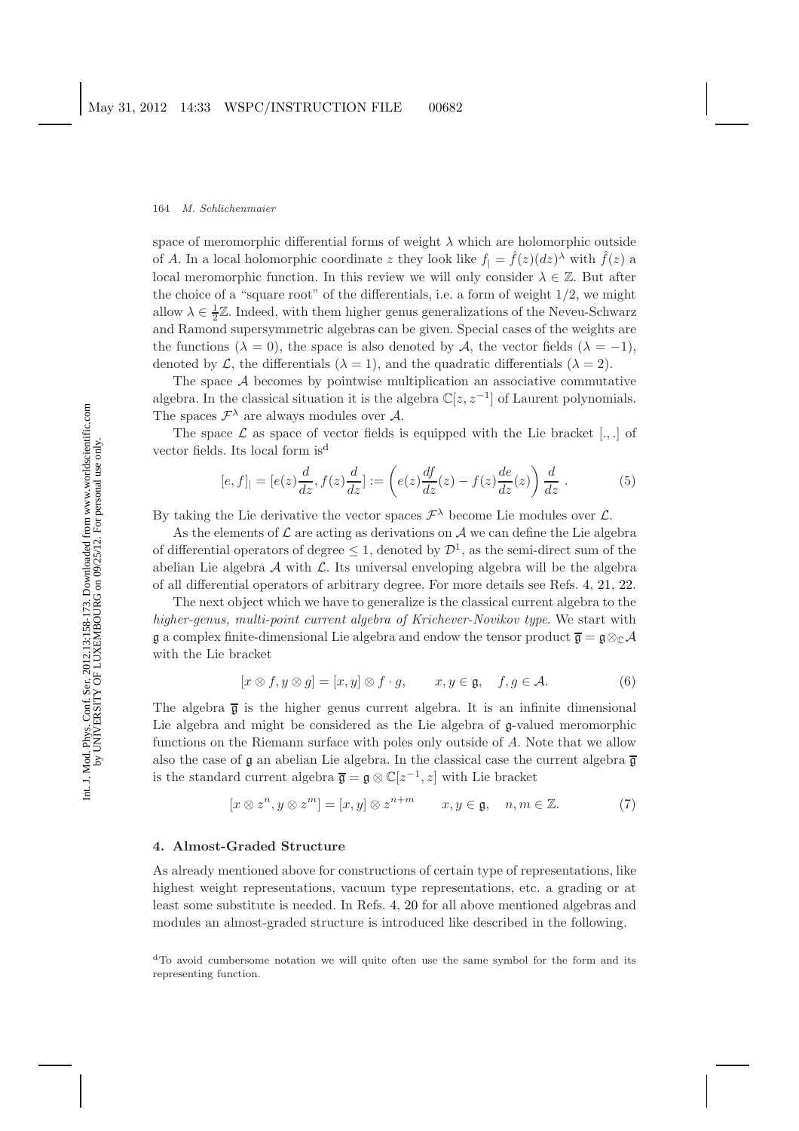space of meromorphic differential forms of weight  $\lambda$  which are holomorphic outside of A. In a local holomorphic coordinate z they look like  $f_1 = \hat{f}(z)(dz)$ <sup> $\lambda$ </sup> with  $\hat{f}(z)$  a local meromorphic function. In this review we will only consider  $\lambda \in \mathbb{Z}$ . But after the choice of a "square root" of the differentials, i.e. a form of weight  $1/2$ , we might allow  $\lambda \in \frac{1}{2}\mathbb{Z}$ . Indeed, with them higher genus generalizations of the Neveu-Schwarz and Ramond supersymmetric algebras can be given. Special cases of the weights are the functions ( $\lambda = 0$ ), the space is also denoted by A, the vector fields ( $\lambda = -1$ ), denoted by  $\mathcal{L}$ , the differentials  $(\lambda = 1)$ , and the quadratic differentials  $(\lambda = 2)$ .

The space  $A$  becomes by pointwise multiplication an associative commutative algebra. In the classical situation it is the algebra  $\mathbb{C}[z,z^{-1}]$  of Laurent polynomials. The spaces  $\mathcal{F}^{\lambda}$  are always modules over A.

The space  $\mathcal L$  as space of vector fields is equipped with the Lie bracket  $[.,.]$  of vector fiel[d](#page-6-0)s. Its local form is<sup>d</sup>

$$
[e, f]_1 = [e(z)\frac{d}{dz}, f(z)\frac{d}{dz}] := \left(e(z)\frac{df}{dz}(z) - f(z)\frac{de}{dz}(z)\right)\frac{d}{dz}.
$$
 (5)

By taking the Lie derivative the vector spaces  $\mathcal{F}^{\lambda}$  become Lie modules over  $\mathcal{L}$ .

As the elements of  $\mathcal L$  are acting as derivations on  $\mathcal A$  we can define the Lie algebra of differential operators of degree  $\leq 1$ , denoted by  $\mathcal{D}^1$ , as the semi-direct sum of the abelian Lie algebra  $\mathcal A$  with  $\mathcal L$ . Its universal enveloping algebra will be the algebra of all differential operators of arbitrary degree. For more details see Refs. [4,](#page-14-4) [21,](#page-14-21) [22.](#page-14-22)

The next object which we have to generalize is the classical current algebra to the *higher-genus, multi-point current algebra of Krichever-Novikov type*. We start with  $\mathfrak g$  a complex finite-dimensional Lie algebra and endow the tensor product  $\overline{\mathfrak g} = \mathfrak g \otimes_{\mathbb C} A$ with the Lie bracket

$$
[x \otimes f, y \otimes g] = [x, y] \otimes f \cdot g, \qquad x, y \in \mathfrak{g}, \quad f, g \in \mathcal{A}.
$$
 (6)

The algebra  $\bar{g}$  is the higher genus current algebra. It is an infinite dimensional Lie algebra and might be considered as the Lie algebra of g-valued meromorphic functions on the Riemann surface with poles only outside of A. Note that we allow also the case of g an abelian Lie algebra. In the classical case the current algebra  $\overline{g}$ is the standard current algebra  $\overline{\mathfrak{g}} = \mathfrak{g} \otimes \mathbb{C}[z^{-1}, z]$  with Lie bracket

$$
[x \otimes z^n, y \otimes z^m] = [x, y] \otimes z^{n+m} \qquad x, y \in \mathfrak{g}, \quad n, m \in \mathbb{Z}.
$$
 (7)

### **4. Almost-Graded Structure**

As already mentioned above for constructions of certain type of representations, like highest weight representations, vacuum type representations, etc. a grading or at least some substitute is needed. In Refs. [4,](#page-14-4) [20](#page-14-20) for all above mentioned algebras and modules an almost-graded structure is introduced like described in the following.

<span id="page-6-0"></span><sup>d</sup>To avoid cumbersome notation we will quite often use the same symbol for the form and its representing function.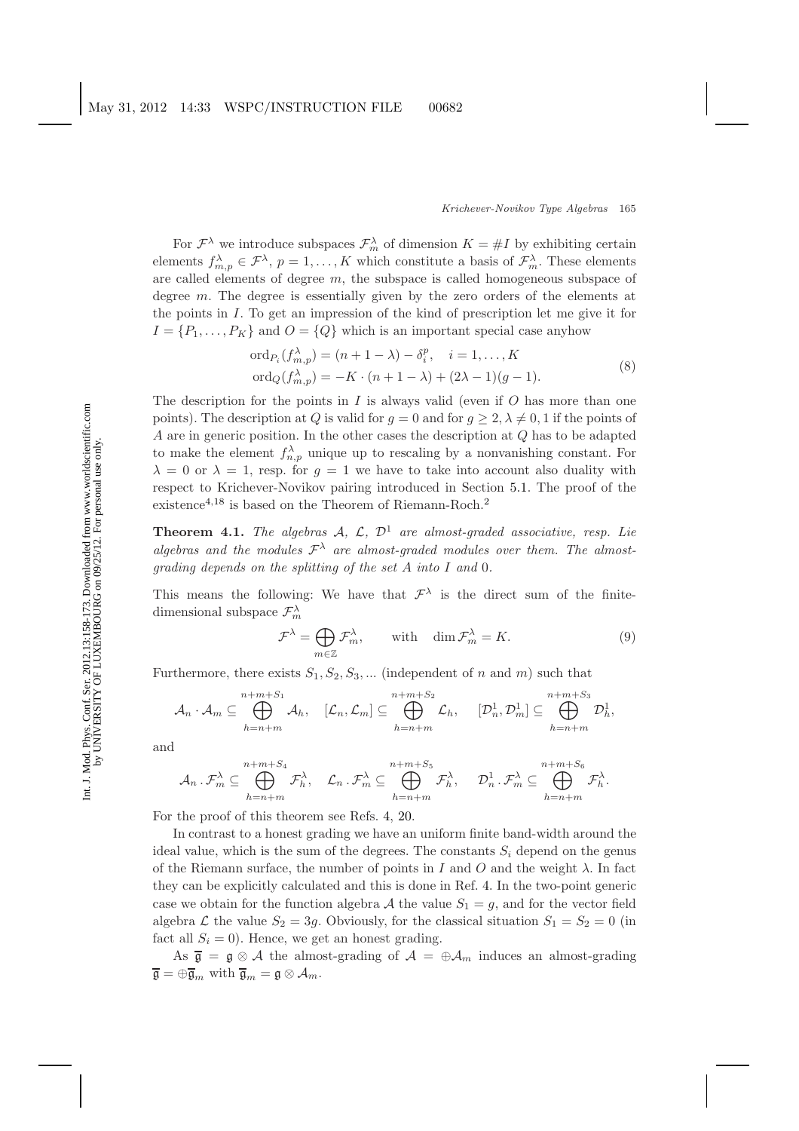For  $\mathcal{F}^{\lambda}$  we introduce subspaces  $\mathcal{F}^{\lambda}_{m}$  of dimension  $K = \#I$  by exhibiting certain elements  $f_{m,n}^{\lambda} \in \mathcal{F}^{\lambda}$ ,  $p = 1, ..., K$  which constitute a basis of  $\mathcal{F}_{m}^{\lambda}$ . These elements are called elements of degree m, the subspace is called homogeneous subspace of degree m. The degree is essentially given by the zero orders of the elements at the points in I. To get an impression of the kind of prescription let me give it for  $I = \{P_1, \ldots, P_K\}$  and  $O = \{Q\}$  which is an important special case anyhow

$$
\begin{aligned}\n\text{ord}_{P_i}(f_{m,p}^{\lambda}) &= (n+1-\lambda) - \delta_i^p, \quad i = 1, \dots, K \\
\text{ord}_Q(f_{m,p}^{\lambda}) &= -K \cdot (n+1-\lambda) + (2\lambda - 1)(g-1).\n\end{aligned} \tag{8}
$$

The description for the points in  $I$  is always valid (even if  $O$  has more than one points). The description at Q is valid for  $q = 0$  and for  $q \ge 2$ ,  $\lambda \ne 0$ , 1 if the points of A are in generic position. In the other cases the description at Q has to be adapted to make the element  $f_{n,p}^{\lambda}$  unique up to rescaling by a nonvanishing constant. For  $\lambda = 0$  or  $\lambda = 1$ , resp. for  $g = 1$  we have to take into account also duality with respect to Krichever-Novikov pairing introduced in Section [5.1.](#page-8-0) The proof of the existence<sup>[4,](#page-14-4)[18](#page-14-18)</sup> is based on the Theorem of Riemann-Roch.<sup>[2](#page-14-2)</sup>

**Theorem 4.1.** *The algebras*  $A$ ,  $C$ ,  $D<sup>1</sup>$  *are almost-graded associative, resp. Lie* algebras and the modules  $\mathcal{F}^{\lambda}$  are almost-graded modules over them. The almost*grading depends on the splitting of the set* A *into* I *and* 0*.*

This means the following: We have that  $\mathcal{F}^{\lambda}$  is the direct sum of the finitedimensional subspace  $\mathcal{F}_m^{\lambda}$ 

$$
\mathcal{F}^{\lambda} = \bigoplus_{m \in \mathbb{Z}} \mathcal{F}^{\lambda}_{m}, \quad \text{with} \quad \dim \mathcal{F}^{\lambda}_{m} = K. \tag{9}
$$

Furthermore, there exists  $S_1, S_2, S_3, \dots$  (independent of n and m) such that

$$
\mathcal{A}_n \cdot \mathcal{A}_m \subseteq \bigoplus_{h=n+m}^{n+m+S_1} \mathcal{A}_h, \quad [\mathcal{L}_n, \mathcal{L}_m] \subseteq \bigoplus_{h=n+m}^{n+m+S_2} \mathcal{L}_h, \quad [\mathcal{D}_n^1, \mathcal{D}_m^1] \subseteq \bigoplus_{h=n+m}^{n+m+S_3} \mathcal{D}_h^1,
$$

and

$$
\mathcal{A}_n \cdot \mathcal{F}_m^{\lambda} \subseteq \bigoplus_{h=n+m}^{n+m+S_4} \mathcal{F}_h^{\lambda}, \quad \mathcal{L}_n \cdot \mathcal{F}_m^{\lambda} \subseteq \bigoplus_{h=n+m}^{n+m+S_5} \mathcal{F}_h^{\lambda}, \quad \mathcal{D}_n^1 \cdot \mathcal{F}_m^{\lambda} \subseteq \bigoplus_{h=n+m}^{n+m+S_6} \mathcal{F}_h^{\lambda}.
$$

For the proof of this theorem see Refs. [4,](#page-14-4) [20.](#page-14-20)

In contrast to a honest grading we have an uniform finite band-width around the ideal value, which is the sum of the degrees. The constants  $S_i$  depend on the genus of the Riemann surface, the number of points in I and O and the weight  $\lambda$ . In fact they can be explicitly calculated and this is done in Ref. [4.](#page-14-4) In the two-point generic case we obtain for the function algebra A the value  $S_1 = g$ , and for the vector field algebra  $\mathcal L$  the value  $S_2 = 3g$ . Obviously, for the classical situation  $S_1 = S_2 = 0$  (in fact all  $S_i = 0$ ). Hence, we get an honest grading.

As  $\bar{\mathfrak{g}} = \mathfrak{g} \otimes A$  the almost-grading of  $A = \oplus A_m$  induces an almost-grading  $\overline{\mathfrak{g}} = \oplus \overline{\mathfrak{g}}_m$  with  $\overline{\mathfrak{g}}_m = \mathfrak{g} \otimes \mathcal{A}_m$ .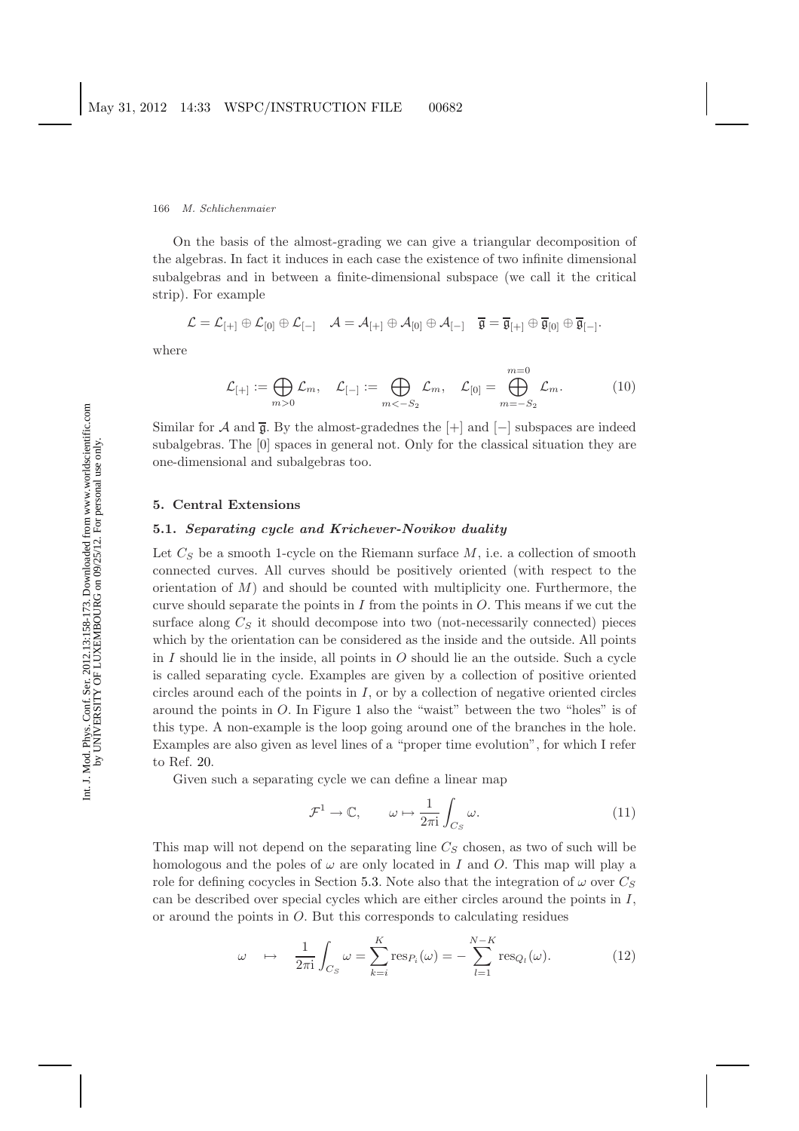On the basis of the almost-grading we can give a triangular decomposition of the algebras. In fact it induces in each case the existence of two infinite dimensional subalgebras and in between a finite-dimensional subspace (we call it the critical strip). For example

$$
\mathcal{L} = \mathcal{L}_{[+]}\oplus \mathcal{L}_{[0]}\oplus \mathcal{L}_{[-]} \quad \mathcal{A} = \mathcal{A}_{[+]} \oplus \mathcal{A}_{[0]}\oplus \mathcal{A}_{[-]} \quad \overline{\mathfrak{g}} = \overline{\mathfrak{g}}_{[+]} \oplus \overline{\mathfrak{g}}_{[0]} \oplus \overline{\mathfrak{g}}_{[-]}.
$$

where

$$
\mathcal{L}_{[+]} := \bigoplus_{m>0} \mathcal{L}_m, \quad \mathcal{L}_{[-]} := \bigoplus_{m<-S_2} \mathcal{L}_m, \quad \mathcal{L}_{[0]} = \bigoplus_{m=-S_2}^{m=0} \mathcal{L}_m. \tag{10}
$$

Similar for A and  $\bar{\mathfrak{g}}$ . By the almost-gradednes the  $[+]$  and  $[-]$  subspaces are indeed subalgebras. The [0] spaces in general not. Only for the classical situation they are one-dimensional and subalgebras too.

### <span id="page-8-0"></span>**5. Central Extensions**

# **5.1.** *Separating cycle and Krichever-Novikov duality*

Let  $C_S$  be a smooth 1-cycle on the Riemann surface  $M$ , i.e. a collection of smooth connected curves. All curves should be positively oriented (with respect to the orientation of  $M$ ) and should be counted with multiplicity one. Furthermore, the curve should separate the points in I from the points in  $O$ . This means if we cut the surface along  $C_S$  it should decompose into two (not-necessarily connected) pieces which by the orientation can be considered as the inside and the outside. All points in I should lie in the inside, all points in  $O$  should lie an the outside. Such a cycle is called separating cycle. Examples are given by a collection of positive oriented circles around each of the points in  $I$ , or by a collection of negative oriented circles around the points in O. In Figure [1](#page-5-0) also the "waist" between the two "holes" is of this type. A non-example is the loop going around one of the branches in the hole. Examples are also given as level lines of a "proper time evolution", for which I refer to Ref. [20.](#page-14-20)

Given such a separating cycle we can define a linear map

$$
\mathcal{F}^1 \to \mathbb{C}, \qquad \omega \mapsto \frac{1}{2\pi i} \int_{C_S} \omega. \tag{11}
$$

This map will not depend on the separating line  $C_S$  chosen, as two of such will be homologous and the poles of  $\omega$  are only located in I and O. This map will play a role for defining cocycles in Section [5.3.](#page-9-0) Note also that the integration of  $\omega$  over  $C_S$ can be described over special cycles which are either circles around the points in  $I$ , or around the points in O. But this corresponds to calculating residues

$$
\omega \quad \mapsto \quad \frac{1}{2\pi i} \int_{C_S} \omega = \sum_{k=i}^K \operatorname{res}_{P_i}(\omega) = -\sum_{l=1}^{N-K} \operatorname{res}_{Q_l}(\omega). \tag{12}
$$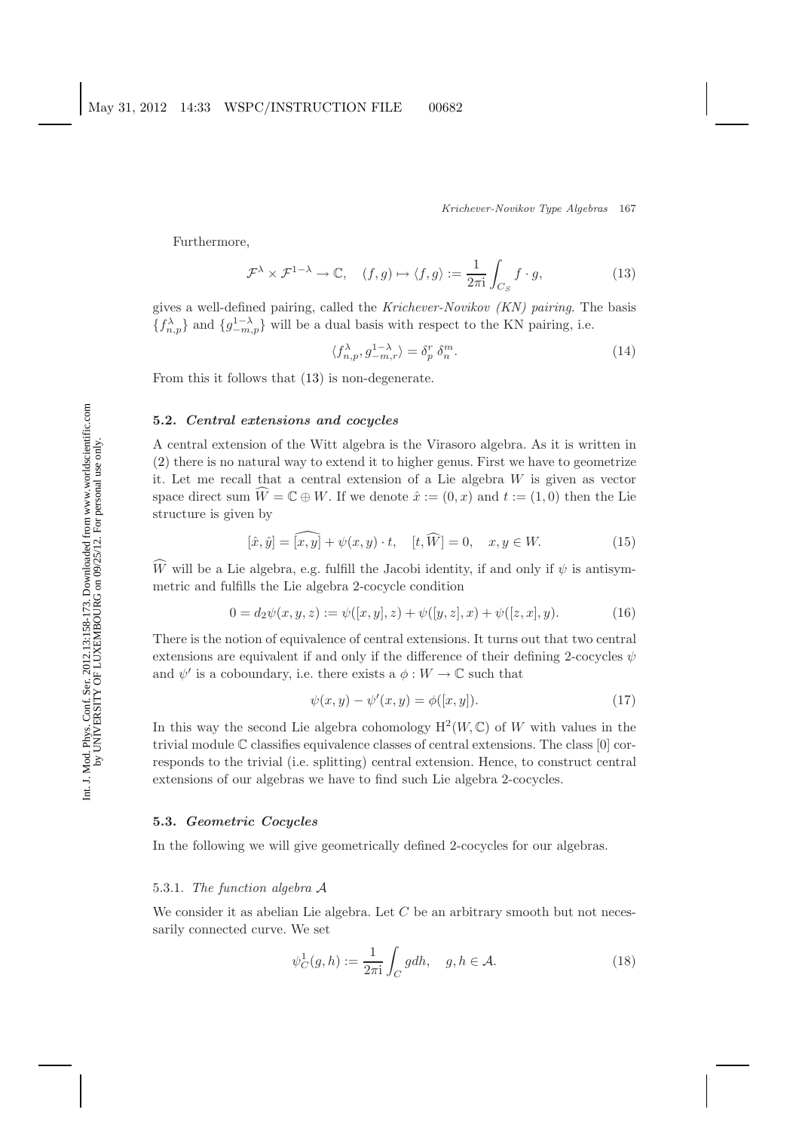<span id="page-9-1"></span>Furthermore,

$$
\mathcal{F}^{\lambda} \times \mathcal{F}^{1-\lambda} \to \mathbb{C}, \quad (f,g) \mapsto \langle f, g \rangle := \frac{1}{2\pi i} \int_{C_S} f \cdot g,\tag{13}
$$

gives a well-defined pairing, called the *Krichever-Novikov (KN) pairing*. The basis  ${f_{n,p}^{\lambda}}$  and  ${g_{-m,p}^{1-\lambda}}$  will be a dual basis with respect to the KN pairing, i.e.

$$
\langle f_{n,p}^{\lambda}, g_{-m,r}^{1-\lambda} \rangle = \delta_p^r \, \delta_n^m. \tag{14}
$$

From this it follows that [\(13\)](#page-9-1) is non-degenerate.

### **5.2.** *Central extensions and cocycles*

A central extension of the Witt algebra is the Virasoro algebra. As it is written in [\(2\)](#page-4-2) there is no natural way to extend it to higher genus. First we have to geometrize it. Let me recall that a central extension of a Lie algebra  $W$  is given as vector space direct sum  $\widehat{W} = \mathbb{C} \oplus W$ . If we denote  $\hat{x} := (0, x)$  and  $t := (1, 0)$  then the Lie structure is given by

$$
[\hat{x}, \hat{y}] = \widehat{[x, y]} + \psi(x, y) \cdot t, \quad [t, \widehat{W}] = 0, \quad x, y \in W.
$$
 (15)

W will be a Lie algebra, e.g. fulfill the Jacobi identity, if and only if  $\psi$  is antisymmetric and fulfills the Lie algebra 2-cocycle condition

$$
0 = d_2\psi(x, y, z) := \psi([x, y], z) + \psi([y, z], x) + \psi([z, x], y).
$$
 (16)

There is the notion of equivalence of central extensions. It turns out that two central extensions are equivalent if and only if the difference of their defining 2-cocycles  $\psi$ and  $\psi'$  is a coboundary, i.e. there exists a  $\phi: W \to \mathbb{C}$  such that

$$
\psi(x, y) - \psi'(x, y) = \phi([x, y]).
$$
\n(17)

In this way the second Lie algebra cohomology  $H^2(W, \mathbb{C})$  of W with values in the trivial module  $\mathbb C$  classifies equivalence classes of central extensions. The class  $[0]$  corresponds to the trivial (i.e. splitting) central extension. Hence, to construct central extensions of our algebras we have to find such Lie algebra 2-cocycles.

### <span id="page-9-0"></span>**5.3.** *Geometric Cocycles*

In the following we will give geometrically defined 2-cocycles for our algebras.

### 5.3.1. *The function algebra* A

<span id="page-9-2"></span>We consider it as abelian Lie algebra. Let  $C$  be an arbitrary smooth but not necessarily connected curve. We set

$$
\psi_C^1(g, h) := \frac{1}{2\pi i} \int_C g dh, \quad g, h \in \mathcal{A}.
$$
\n(18)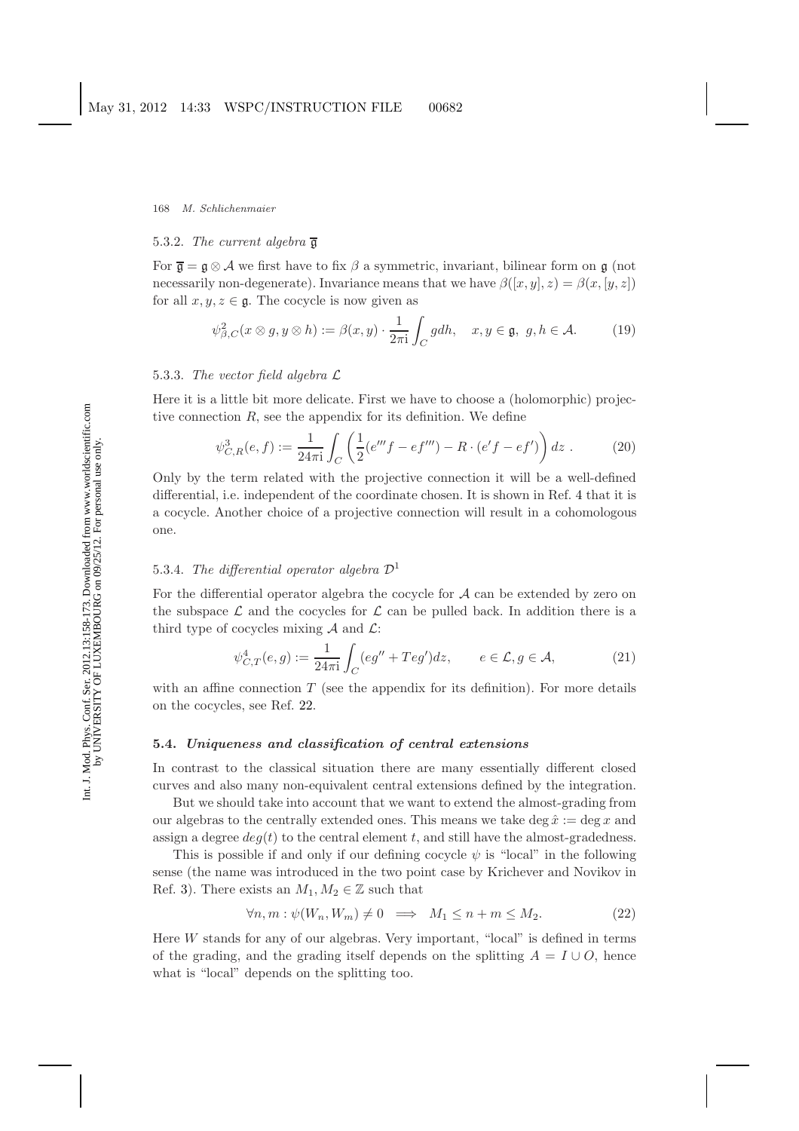#### 5.3.2. *The current algebra* g

For  $\overline{\mathfrak{g}} = \mathfrak{g} \otimes A$  we first have to fix  $\beta$  a symmetric, invariant, bilinear form on  $\mathfrak{g}$  (not necessarily non-degenerate). Invariance means that we have  $\beta([x, y], z) = \beta(x, [y, z])$ for all  $x, y, z \in \mathfrak{g}$ . The cocycle is now given as

$$
\psi_{\beta,C}^2(x \otimes g, y \otimes h) := \beta(x, y) \cdot \frac{1}{2\pi i} \int_C g dh, \quad x, y \in \mathfrak{g}, \ g, h \in \mathcal{A}.
$$
 (19)

### 5.3.3. *The vector field algebra* L

Here it is a little bit more delicate. First we have to choose a (holomorphic) projective connection  $R$ , see the appendix for its definition. We define

$$
\psi_{C,R}^3(e,f) := \frac{1}{24\pi i} \int_C \left( \frac{1}{2} (e'''f - ef''') - R \cdot (e'f - ef') \right) dz . \tag{20}
$$

<span id="page-10-0"></span>Only by the term related with the projective connection it will be a well-defined differential, i.e. independent of the coordinate chosen. It is shown in Ref. [4](#page-14-4) that it is a cocycle. Another choice of a projective connection will result in a cohomologous one.

# 5.3.4. *The differential operator algebra* D<sup>1</sup>

For the differential operator algebra the cocycle for  $A$  can be extended by zero on the subspace  $\mathcal L$  and the cocycles for  $\mathcal L$  can be pulled back. In addition there is a third type of cocycles mixing  $A$  and  $\mathcal{L}$ :

$$
\psi_{C,T}^4(e,g) := \frac{1}{24\pi i} \int_C (eg'' + Teg')dz, \qquad e \in \mathcal{L}, g \in \mathcal{A}, \tag{21}
$$

<span id="page-10-1"></span>with an affine connection  $T$  (see the appendix for its definition). For more details on the cocycles, see Ref. [22.](#page-14-22)

#### <span id="page-10-2"></span>**5.4.** *Uniqueness and classification of central extensions*

In contrast to the classical situation there are many essentially different closed curves and also many non-equivalent central extensions defined by the integration.

But we should take into account that we want to extend the almost-grading from our algebras to the centrally extended ones. This means we take deg  $\hat{x} := \deg x$  and assign a degree  $deg(t)$  to the central element t, and still have the almost-gradedness.

This is possible if and only if our defining cocycle  $\psi$  is "local" in the following sense (the name was introduced in the two point case by Krichever and Novikov in Ref. [3\)](#page-14-3). There exists an  $M_1, M_2 \in \mathbb{Z}$  such that

$$
\forall n, m: \psi(W_n, W_m) \neq 0 \implies M_1 \le n + m \le M_2. \tag{22}
$$

Here  $W$  stands for any of our algebras. Very important, "local" is defined in terms of the grading, and the grading itself depends on the splitting  $A = I \cup O$ , hence what is "local" depends on the splitting too.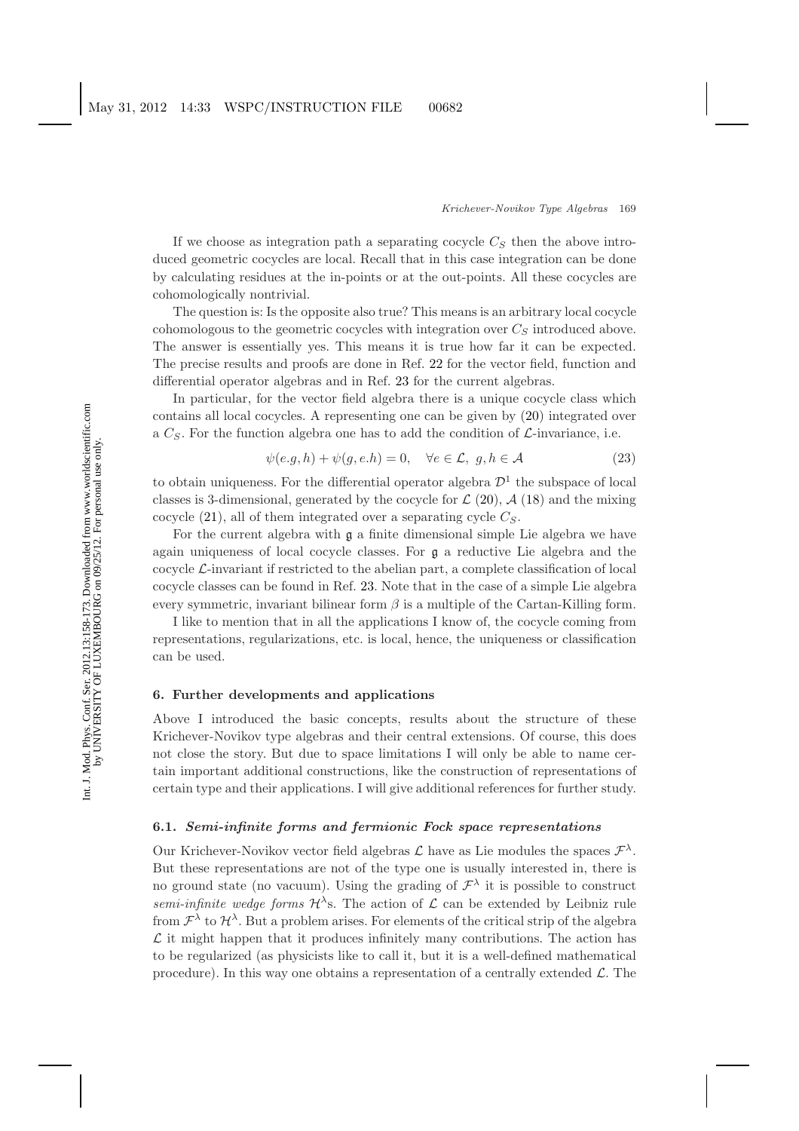If we choose as integration path a separating cocycle  $C_S$  then the above introduced geometric cocycles are local. Recall that in this case integration can be done by calculating residues at the in-points or at the out-points. All these cocycles are cohomologically nontrivial.

The question is: Is the opposite also true? This means is an arbitrary local cocycle cohomologous to the geometric cocycles with integration over  $C_S$  introduced above. The answer is essentially yes. This means it is true how far it can be expected. The precise results and proofs are done in Ref. [22](#page-14-22) for the vector field, function and differential operator algebras and in Ref. [23](#page-14-23) for the current algebras.

In particular, for the vector field algebra there is a unique cocycle class which contains all local cocycles. A representing one can be given by [\(20\)](#page-10-0) integrated over a  $C_S$ . For the function algebra one has to add the condition of  $\mathcal{L}$ -invariance, i.e.

$$
\psi(e.g, h) + \psi(g, e.h) = 0, \quad \forall e \in \mathcal{L}, g, h \in \mathcal{A}
$$
\n(23)

to obtain uniqueness. For the differential operator algebra  $\mathcal{D}^1$  the subspace of local classes is 3-dimensional, generated by the cocycle for  $\mathcal{L}(20)$  $\mathcal{L}(20)$ ,  $\mathcal{A}(18)$  $\mathcal{A}(18)$  and the mixing cocycle  $(21)$ , all of them integrated over a separating cycle  $C_S$ .

For the current algebra with  $\mathfrak g$  a finite dimensional simple Lie algebra we have again uniqueness of local cocycle classes. For g a reductive Lie algebra and the cocycle  $\mathcal{L}\text{-invariant}$  if restricted to the abelian part, a complete classification of local cocycle classes can be found in Ref. [23.](#page-14-23) Note that in the case of a simple Lie algebra every symmetric, invariant bilinear form  $\beta$  is a multiple of the Cartan-Killing form.

I like to mention that in all the applications I know of, the cocycle coming from representations, regularizations, etc. is local, hence, the uniqueness or classification can be used.

# **6. Further developments and applications**

Above I introduced the basic concepts, results about the structure of these Krichever-Novikov type algebras and their central extensions. Of course, this does not close the story. But due to space limitations I will only be able to name certain important additional constructions, like the construction of representations of certain type and their applications. I will give additional references for further study.

# **6.1.** *Semi-infinite forms and fermionic Fock space representations*

Our Krichever-Novikov vector field algebras  $\mathcal L$  have as Lie modules the spaces  $\mathcal F^{\lambda}$ . But these representations are not of the type one is usually interested in, there is no ground state (no vacuum). Using the grading of  $\mathcal{F}^{\lambda}$  it is possible to construct *semi-infinite wedge forms*  $\mathcal{H}^{\lambda}$ s. The action of  $\mathcal{L}$  can be extended by Leibniz rule from  $\mathcal{F}^{\lambda}$  to  $\mathcal{H}^{\lambda}$ . But a problem arises. For elements of the critical strip of the algebra  $\mathcal L$  it might happen that it produces infinitely many contributions. The action has to be regularized (as physicists like to call it, but it is a well-defined mathematical procedure). In this way one obtains a representation of a centrally extended  $\mathcal{L}$ . The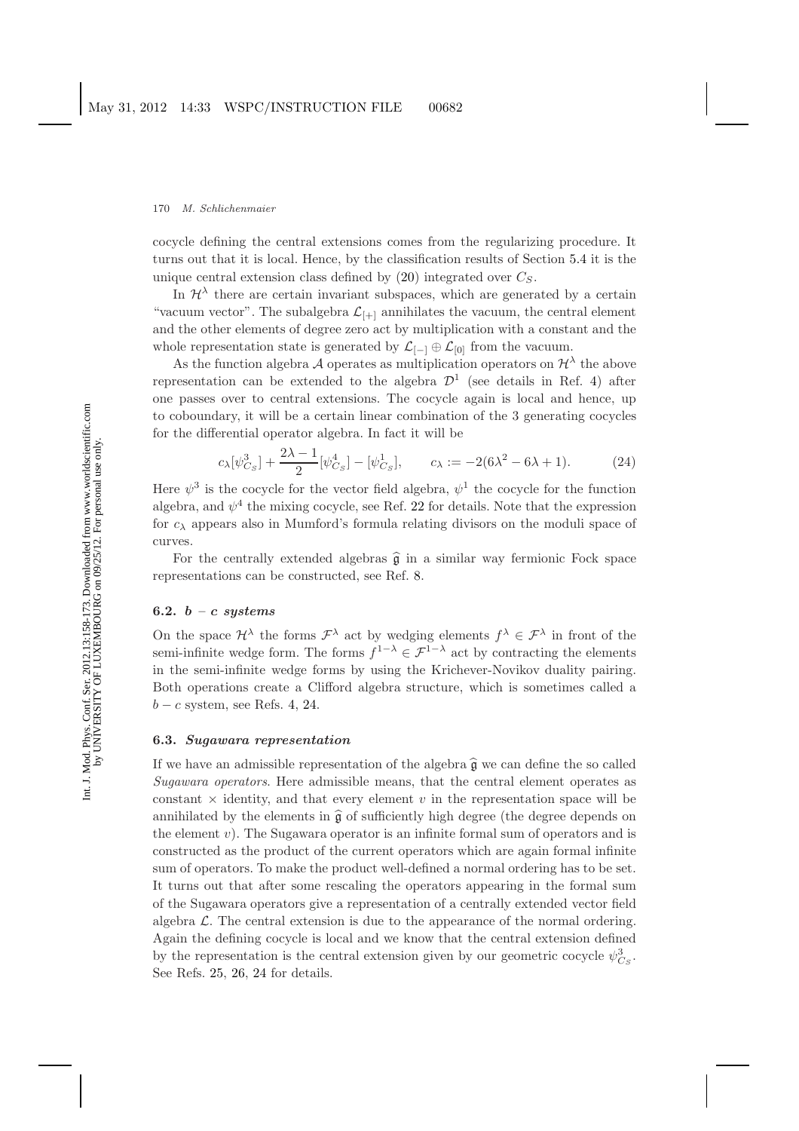cocycle defining the central extensions comes from the regularizing procedure. It turns out that it is local. Hence, by the classification results of Section [5.4](#page-10-2) it is the unique central extension class defined by  $(20)$  integrated over  $C_S$ .

In  $\mathcal{H}^{\lambda}$  there are certain invariant subspaces, which are generated by a certain "vacuum vector". The subalgebra  $\mathcal{L}_{[+]}$  annihilates the vacuum, the central element and the other elements of degree zero act by multiplication with a constant and the whole representation state is generated by  $\mathcal{L}_{[-]} \oplus \mathcal{L}_{[0]}$  from the vacuum.

As the function algebra A operates as multiplication operators on  $\mathcal{H}^{\lambda}$  the above representation can be extended to the algebra  $\mathcal{D}^1$  (see details in Ref. [4\)](#page-14-4) after one passes over to central extensions. The cocycle again is local and hence, up to coboundary, it will be a certain linear combination of the 3 generating cocycles for the differential operator algebra. In fact it will be

$$
c_{\lambda}[\psi_{C_{S}}^{3}] + \frac{2\lambda - 1}{2}[\psi_{C_{S}}^{4}] - [\psi_{C_{S}}^{1}], \qquad c_{\lambda} := -2(6\lambda^{2} - 6\lambda + 1). \tag{24}
$$

Here  $\psi^3$  is the cocycle for the vector field algebra,  $\psi^1$  the cocycle for the function algebra, and  $\psi^4$  the mixing cocycle, see Ref. [22](#page-14-22) for details. Note that the expression for  $c_{\lambda}$  appears also in Mumford's formula relating divisors on the moduli space of curves.

For the centrally extended algebras  $\hat{\mathfrak{g}}$  in a similar way fermionic Fock space representations can be constructed, see Ref. [8.](#page-14-8)

### **6.2.** *b – c systems*

On the space  $\mathcal{H}^{\lambda}$  the forms  $\mathcal{F}^{\lambda}$  act by wedging elements  $f^{\lambda} \in \mathcal{F}^{\lambda}$  in front of the semi-infinite wedge form. The forms  $f^{1-\lambda} \in \mathcal{F}^{1-\lambda}$  act by contracting the elements in the semi-infinite wedge forms by using the Krichever-Novikov duality pairing. Both operations create a Clifford algebra structure, which is sometimes called a  $b - c$  system, see Refs. [4,](#page-14-4) [24.](#page-15-0)

### **6.3.** *Sugawara representation*

If we have an admissible representation of the algebra  $\hat{g}$  we can define the so called *Sugawara operators*. Here admissible means, that the central element operates as constant  $\times$  identity, and that every element v in the representation space will be annihilated by the elements in  $\hat{\mathfrak{g}}$  of sufficiently high degree (the degree depends on the element  $v$ ). The Sugawara operator is an infinite formal sum of operators and is constructed as the product of the current operators which are again formal infinite sum of operators. To make the product well-defined a normal ordering has to be set. It turns out that after some rescaling the operators appearing in the formal sum of the Sugawara operators give a representation of a centrally extended vector field algebra  $\mathcal{L}$ . The central extension is due to the appearance of the normal ordering. Again the defining cocycle is local and we know that the central extension defined by the representation is the central extension given by our geometric cocycle  $\psi_{C_S}^3$ . See Refs. [25,](#page-15-1) [26,](#page-15-2) [24](#page-15-0) for details.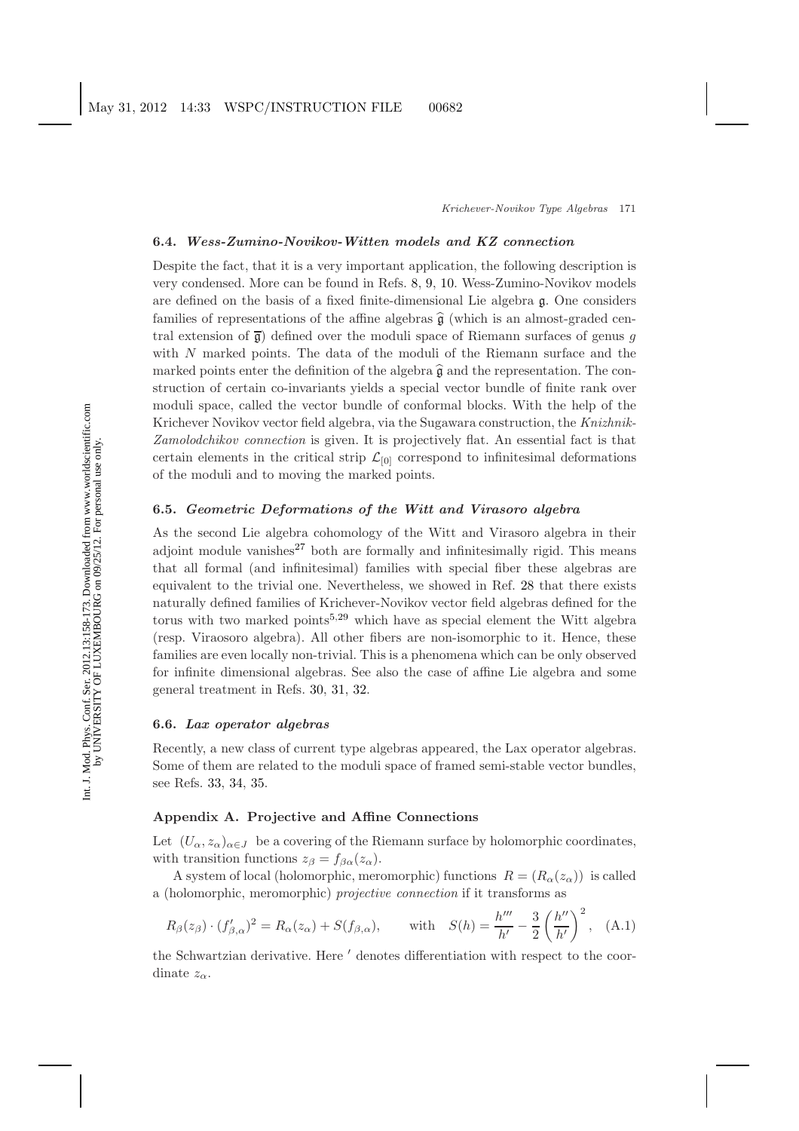### **6.4.** *Wess-Zumino-Novikov-Witten models and KZ connection*

Despite the fact, that it is a very important application, the following description is very condensed. More can be found in Refs. [8,](#page-14-8) [9,](#page-14-9) [10.](#page-14-10) Wess-Zumino-Novikov models are defined on the basis of a fixed finite-dimensional Lie algebra g. One considers families of representations of the affine algebras  $\hat{g}$  (which is an almost-graded central extension of  $\bar{g}$ ) defined over the moduli space of Riemann surfaces of genus g with N marked points. The data of the moduli of the Riemann surface and the marked points enter the definition of the algebra  $\hat{\mathfrak{g}}$  and the representation. The construction of certain co-invariants yields a special vector bundle of finite rank over moduli space, called the vector bundle of conformal blocks. With the help of the Krichever Novikov vector field algebra, via the Sugawara construction, the *Knizhnik-Zamolodchikov connection* is given. It is projectively flat. An essential fact is that certain elements in the critical strip  $\mathcal{L}_{[0]}$  correspond to infinitesimal deformations of the moduli and to moving the marked points.

# **6.5.** *Geometric Deformations of the Witt and Virasoro algebra*

As the second Lie algebra cohomology of the Witt and Virasoro algebra in their adjoint module vanishes $27$  both are formally and infinitesimally rigid. This means that all formal (and infinitesimal) families with special fiber these algebras are equivalent to the trivial one. Nevertheless, we showed in Ref. [28](#page-15-4) that there exists naturally defined families of Krichever-Novikov vector field algebras defined for the torus with two marked points<sup>[5,](#page-14-5)[29](#page-15-5)</sup> which have as special element the Witt algebra (resp. Viraosoro algebra). All other fibers are non-isomorphic to it. Hence, these families are even locally non-trivial. This is a phenomena which can be only observed for infinite dimensional algebras. See also the case of affine Lie algebra and some general treatment in Refs. [30,](#page-15-6) [31,](#page-15-7) [32.](#page-15-8)

## **6.6.** *Lax operator algebras*

Recently, a new class of current type algebras appeared, the Lax operator algebras. Some of them are related to the moduli space of framed semi-stable vector bundles, see Refs. [33,](#page-15-9) [34,](#page-15-10) [35.](#page-15-11)

# **Appendix A. Projective and Affine Connections**

Let  $(U_\alpha, z_\alpha)_{\alpha \in J}$  be a covering of the Riemann surface by holomorphic coordinates, with transition functions  $z_{\beta} = f_{\beta \alpha}(z_{\alpha}).$ 

A system of local (holomorphic, meromorphic) functions  $R = (R_{\alpha}(z_{\alpha}))$  is called a (holomorphic, meromorphic) *projective connection* if it transforms as

$$
R_{\beta}(z_{\beta}) \cdot (f'_{\beta,\alpha})^2 = R_{\alpha}(z_{\alpha}) + S(f_{\beta,\alpha}), \quad \text{with} \quad S(h) = \frac{h'''}{h'} - \frac{3}{2} \left(\frac{h''}{h'}\right)^2, \quad (A.1)
$$

the Schwartzian derivative. Here  $\prime$  denotes differentiation with respect to the coordinate  $z_{\alpha}$ .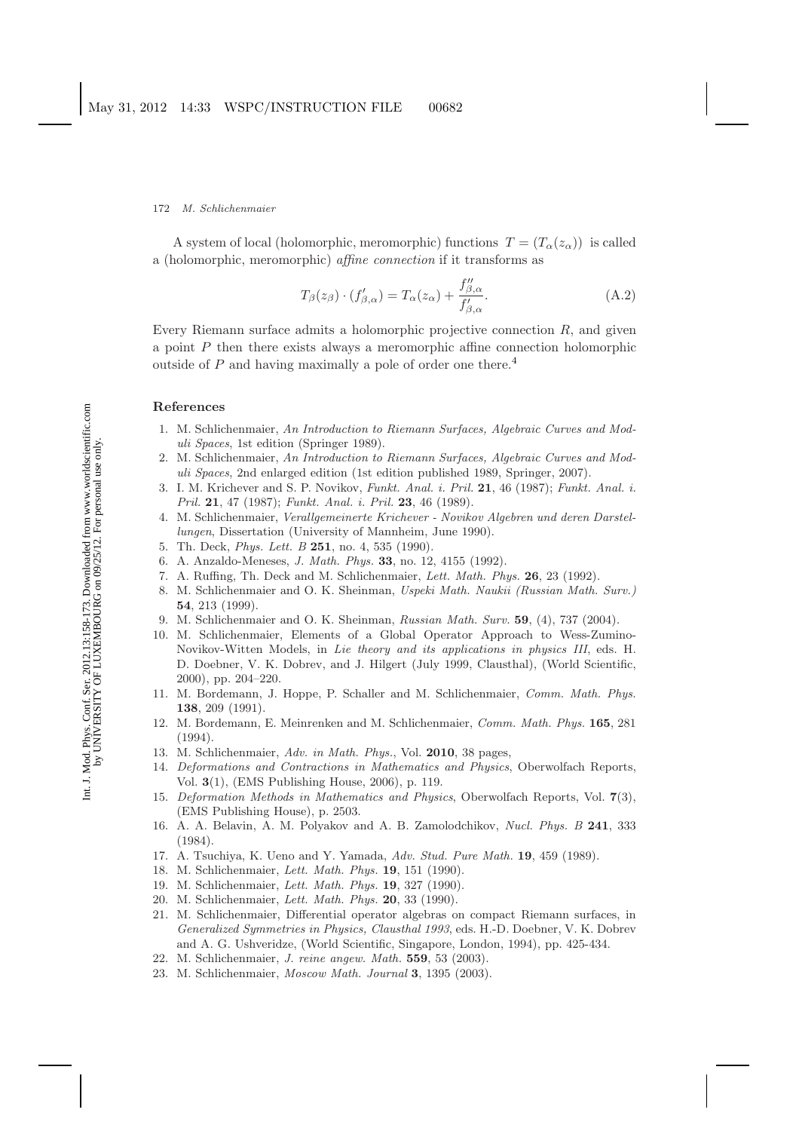A system of local (holomorphic, meromorphic) functions  $T = (T_{\alpha}(z_{\alpha}))$  is called a (holomorphic, meromorphic) *affine connection* if it transforms as

$$
T_{\beta}(z_{\beta}) \cdot (f'_{\beta,\alpha}) = T_{\alpha}(z_{\alpha}) + \frac{f''_{\beta,\alpha}}{f'_{\beta,\alpha}}.
$$
\n(A.2)

Every Riemann surface admits a holomorphic projective connection  $R$ , and given a point  $P$  then there exists always a meromorphic affine connection holomorphic outside of  $P$  and having maximally a pole of order one there.<sup>[4](#page-14-4)</sup>

### <span id="page-14-2"></span><span id="page-14-1"></span><span id="page-14-0"></span>**References**

- 1. M. Schlichenmaier, *An Introduction to Riemann Surfaces, Algebraic Curves and Moduli Spaces*, 1st edition (Springer 1989).
- 2. M. Schlichenmaier, *An Introduction to Riemann Surfaces, Algebraic Curves and Moduli Spaces*, 2nd enlarged edition (1st edition published 1989, Springer, 2007).
- <span id="page-14-3"></span>3. I. M. Krichever and S. P. Novikov, *Funkt. Anal. i. Pril.* **21**, 46 (1987); *Funkt. Anal. i. Pril.* **21**, 47 (1987); *Funkt. Anal. i. Pril.* **23**, 46 (1989).
- <span id="page-14-4"></span>4. M. Schlichenmaier, *Verallgemeinerte Krichever - Novikov Algebren und deren Darstellungen*, Dissertation (University of Mannheim, June 1990).
- <span id="page-14-6"></span><span id="page-14-5"></span>5. Th. Deck, *Phys. Lett. B* **251**, no. 4, 535 (1990).
- <span id="page-14-7"></span>6. A. Anzaldo-Meneses, *J. Math. Phys.* **33**, no. 12, 4155 (1992).
- <span id="page-14-8"></span>7. A. Ruffing, Th. Deck and M. Schlichenmaier, *Lett. Math. Phys.* **26**, 23 (1992).
- 8. M. Schlichenmaier and O. K. Sheinman, *Uspeki Math. Naukii (Russian Math. Surv.)* **54**, 213 (1999).
- <span id="page-14-9"></span>9. M. Schlichenmaier and O. K. Sheinman, *Russian Math. Surv.* **59**, (4), 737 (2004).
- <span id="page-14-10"></span>10. M. Schlichenmaier, Elements of a Global Operator Approach to Wess-Zumino-Novikov-Witten Models, in *Lie theory and its applications in physics III*, eds. H. D. Doebner, V. K. Dobrev, and J. Hilgert (July 1999, Clausthal), (World Scientific, 2000), pp. 204–220.
- <span id="page-14-12"></span><span id="page-14-11"></span>11. M. Bordemann, J. Hoppe, P. Schaller and M. Schlichenmaier, *Comm. Math. Phys.* **138**, 209 (1991).
- 12. M. Bordemann, E. Meinrenken and M. Schlichenmaier, *Comm. Math. Phys.* **165**, 281 (1994).
- <span id="page-14-14"></span><span id="page-14-13"></span>13. M. Schlichenmaier, *Adv. in Math. Phys.*, Vol. **2010**, 38 pages,
- 14. *Deformations and Contractions in Mathematics and Physics*, Oberwolfach Reports, Vol. **3**(1), (EMS Publishing House, 2006), p. 119.
- <span id="page-14-15"></span>15. *Deformation Methods in Mathematics and Physics*, Oberwolfach Reports, Vol. **7**(3), (EMS Publishing House), p. 2503.
- <span id="page-14-16"></span>16. A. A. Belavin, A. M. Polyakov and A. B. Zamolodchikov, *Nucl. Phys. B* **241**, 333 (1984).
- <span id="page-14-18"></span><span id="page-14-17"></span>17. A. Tsuchiya, K. Ueno and Y. Yamada, *Adv. Stud. Pure Math.* **19**, 459 (1989).
- <span id="page-14-19"></span>18. M. Schlichenmaier, *Lett. Math. Phys.* **19**, 151 (1990).
- <span id="page-14-20"></span>19. M. Schlichenmaier, *Lett. Math. Phys.* **19**, 327 (1990).
- <span id="page-14-21"></span>20. M. Schlichenmaier, *Lett. Math. Phys.* **20**, 33 (1990).
- 21. M. Schlichenmaier, Differential operator algebras on compact Riemann surfaces, in *Generalized Symmetries in Physics, Clausthal 1993*, eds. H.-D. Doebner, V. K. Dobrev and A. G. Ushveridze, (World Scientific, Singapore, London, 1994), pp. 425-434.
- <span id="page-14-23"></span><span id="page-14-22"></span>22. M. Schlichenmaier, *J. reine angew. Math.* **559**, 53 (2003).
- 23. M. Schlichenmaier, *Moscow Math. Journal* **3**, 1395 (2003).